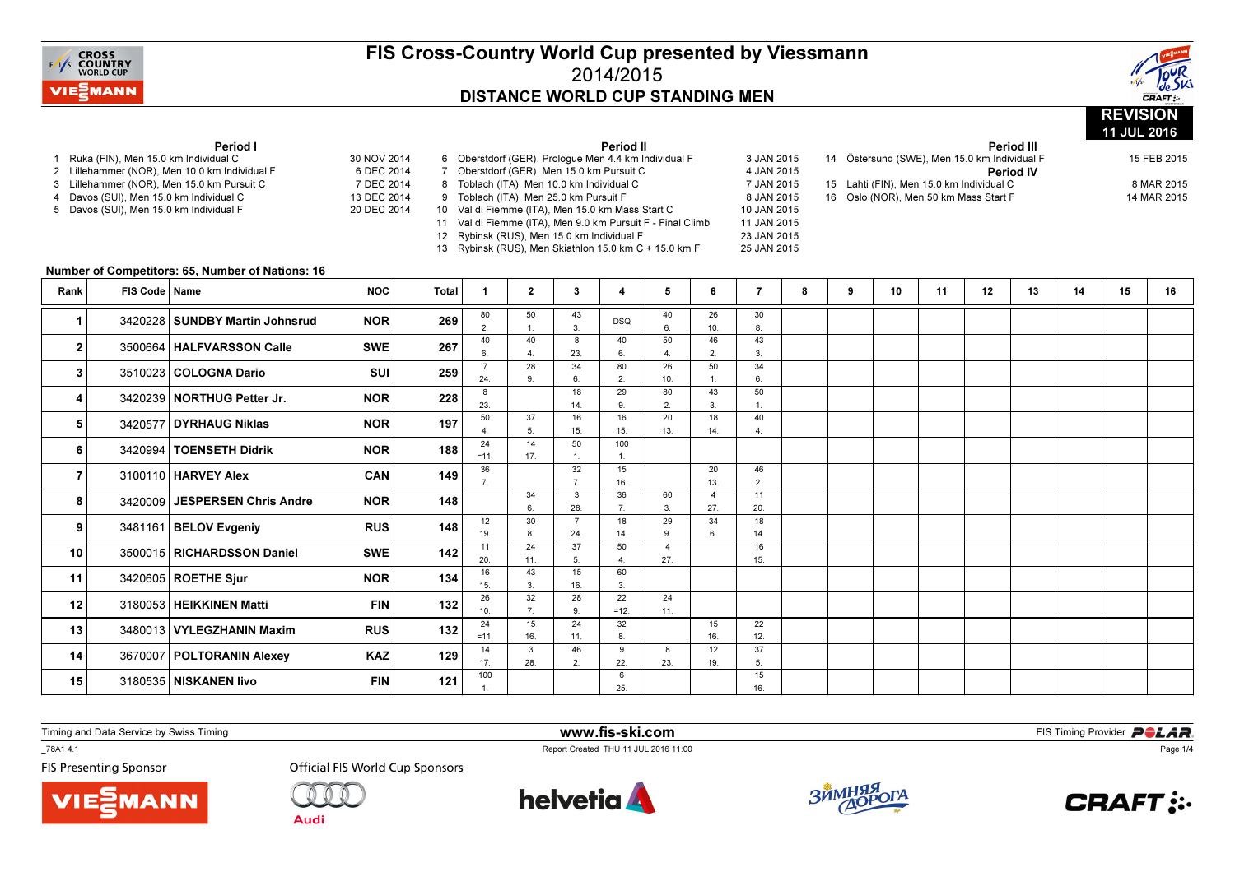



|                |                                                                                    |                                                                                             |                                          |              |                                                                                                                                                                                                                                                                                                                                                                         |                                                                   |                       |                       |                               |                       |                      |            |   |                                                                                                                                                                                               |    |    | Period III  |    | 11 JUL 2016 |    |  |
|----------------|------------------------------------------------------------------------------------|---------------------------------------------------------------------------------------------|------------------------------------------|--------------|-------------------------------------------------------------------------------------------------------------------------------------------------------------------------------------------------------------------------------------------------------------------------------------------------------------------------------------------------------------------------|-------------------------------------------------------------------|-----------------------|-----------------------|-------------------------------|-----------------------|----------------------|------------|---|-----------------------------------------------------------------------------------------------------------------------------------------------------------------------------------------------|----|----|-------------|----|-------------|----|--|
|                | 1 Ruka (FIN), Men 15.0 km Individual C                                             | Period I                                                                                    | 30 NOV 2014<br>6 DEC 2014                |              |                                                                                                                                                                                                                                                                                                                                                                         | Period II<br>6 Oberstdorf (GER), Prologue Men 4.4 km Individual F |                       |                       |                               |                       |                      | 3 JAN 2015 |   | 14 Östersund (SWE), Men 15.0 km Individual F                                                                                                                                                  |    |    | 15 FEB 2015 |    |             |    |  |
|                | 4 Davos (SUI), Men 15.0 km Individual C<br>5 Davos (SUI), Men 15.0 km Individual F | 2 Lillehammer (NOR), Men 10.0 km Individual F<br>3 Lillehammer (NOR), Men 15.0 km Pursuit C | 7 DEC 2014<br>13 DEC 2014<br>20 DEC 2014 |              | 7 Oberstdorf (GER), Men 15.0 km Pursuit C<br>4 JAN 2015<br>8 Toblach (ITA), Men 10.0 km Individual C<br>9 Toblach (ITA), Men 25.0 km Pursuit F<br>10 Val di Fiemme (ITA), Men 15.0 km Mass Start C<br>11 Val di Fiemme (ITA), Men 9.0 km Pursuit F - Final Climb<br>12 Rybinsk (RUS), Men 15.0 km Individual F<br>13 Rybinsk (RUS), Men Skiathlon 15.0 km C + 15.0 km F |                                                                   |                       |                       |                               |                       |                      |            |   | <b>Period IV</b><br>7 JAN 2015<br>15 Lahti (FIN), Men 15.0 km Individual C<br>8 JAN 2015<br>16 Oslo (NOR), Men 50 km Mass Start F<br>10 JAN 2015<br>11 JAN 2015<br>23 JAN 2015<br>25 JAN 2015 |    |    |             |    |             |    |  |
|                |                                                                                    | Number of Competitors: 65, Number of Nations: 16                                            |                                          |              |                                                                                                                                                                                                                                                                                                                                                                         |                                                                   |                       |                       |                               |                       |                      |            |   |                                                                                                                                                                                               |    |    |             |    |             |    |  |
| Rank           | FIS Code   Name                                                                    |                                                                                             | <b>NOC</b>                               | <b>Total</b> | $\mathbf{1}$                                                                                                                                                                                                                                                                                                                                                            | $\overline{2}$                                                    | $3^{\circ}$           | 4                     | 5                             | 6                     | $\overline{7}$       | 8          | 9 | 10                                                                                                                                                                                            | 11 | 12 | 13          | 14 | 15          | 16 |  |
| 1              |                                                                                    | 3420228 SUNDBY Martin Johnsrud                                                              | <b>NOR</b>                               | 269          | 80<br>2.                                                                                                                                                                                                                                                                                                                                                                | 50                                                                | 43<br>$\mathbf{3}$    | <b>DSQ</b>            | 40<br>6.                      | 26<br>10.             | 30<br>8              |            |   |                                                                                                                                                                                               |    |    |             |    |             |    |  |
| $\mathbf{2}$   |                                                                                    | 3500664   HALFVARSSON Calle                                                                 | <b>SWE</b>                               | 267          | 40<br>$\epsilon$                                                                                                                                                                                                                                                                                                                                                        | 40<br>$\overline{4}$ .                                            | 8<br>23.              | 40<br>6.              | 50<br>$\overline{\mathbf{A}}$ | 46<br>2.              | 43<br>3.             |            |   |                                                                                                                                                                                               |    |    |             |    |             |    |  |
| 3              |                                                                                    | 3510023 COLOGNA Dario                                                                       | <b>SUI</b>                               | 259          | $\overline{7}$<br>24.                                                                                                                                                                                                                                                                                                                                                   | 28<br>9.                                                          | 34<br>6.              | 80<br>$\overline{2}$  | 26<br>10.                     | 50                    | 34<br>6.             |            |   |                                                                                                                                                                                               |    |    |             |    |             |    |  |
| 4              |                                                                                    | 3420239 NORTHUG Petter Jr.                                                                  | <b>NOR</b>                               | 228          | 8<br>23.                                                                                                                                                                                                                                                                                                                                                                |                                                                   | 18<br>14.             | 29<br>9.              | 80<br>2.                      | 43<br>$\overline{3}$  | 50<br>$\overline{1}$ |            |   |                                                                                                                                                                                               |    |    |             |    |             |    |  |
| 5              | 3420577                                                                            | DYRHAUG Niklas                                                                              | <b>NOR</b>                               | 197          | 50<br>$\overline{\mathbf{A}}$                                                                                                                                                                                                                                                                                                                                           | 37<br>5.                                                          | 16<br>15.             | 16<br>15.             | 20<br>13.                     | 18<br>14.             | 40<br>$\overline{4}$ |            |   |                                                                                                                                                                                               |    |    |             |    |             |    |  |
| 6              |                                                                                    | 3420994   TOENSETH Didrik                                                                   | <b>NOR</b>                               | 188          | 24<br>$=11.$                                                                                                                                                                                                                                                                                                                                                            | 14<br>17.                                                         | 50<br>$\mathbf{1}$ .  | 100<br>$\overline{1}$ |                               |                       |                      |            |   |                                                                                                                                                                                               |    |    |             |    |             |    |  |
| $\overline{7}$ |                                                                                    | 3100110   HARVEY Alex                                                                       | CAN                                      | 149          | 36<br>7 <sup>1</sup>                                                                                                                                                                                                                                                                                                                                                    |                                                                   | 32<br>7.              | 15<br>16.             |                               | 20<br>13.             | 46<br>2.             |            |   |                                                                                                                                                                                               |    |    |             |    |             |    |  |
| 8              |                                                                                    | 3420009 JESPERSEN Chris Andre                                                               | <b>NOR</b>                               | 148          |                                                                                                                                                                                                                                                                                                                                                                         | 34<br>6                                                           | $\mathbf{3}$<br>28.   | 36<br>7 <sup>2</sup>  | 60<br>3.                      | $\overline{4}$<br>27. | 11<br>20.            |            |   |                                                                                                                                                                                               |    |    |             |    |             |    |  |
| 9              |                                                                                    | 3481161 BELOV Evgeniy                                                                       | <b>RUS</b>                               | 148          | 12<br>19.                                                                                                                                                                                                                                                                                                                                                               | 30<br>8.                                                          | $\overline{7}$<br>24. | 18<br>14.             | 29<br>9.                      | 34<br>6               | 18<br>14.            |            |   |                                                                                                                                                                                               |    |    |             |    |             |    |  |
| 10             |                                                                                    | 3500015 RICHARDSSON Daniel                                                                  | <b>SWE</b>                               | 142          | 11<br>20.                                                                                                                                                                                                                                                                                                                                                               | 24<br>11.                                                         | 37<br>5.              | 50<br>$\overline{a}$  | $\overline{4}$<br>27.         |                       | 16<br>15.            |            |   |                                                                                                                                                                                               |    |    |             |    |             |    |  |
| 11             |                                                                                    | 3420605 ROETHE Sjur                                                                         | <b>NOR</b>                               | 134          | 16<br>15.                                                                                                                                                                                                                                                                                                                                                               | 43<br>3.                                                          | 15<br>16.             | 60<br>3.              |                               |                       |                      |            |   |                                                                                                                                                                                               |    |    |             |    |             |    |  |
| 12             |                                                                                    | 3180053 HEIKKINEN Matti                                                                     | <b>FIN</b>                               | 132          | 26<br>10.                                                                                                                                                                                                                                                                                                                                                               | 32<br>7 <sub>1</sub>                                              | 28<br>9.              | 22<br>$=12.$          | 24<br>11.                     |                       |                      |            |   |                                                                                                                                                                                               |    |    |             |    |             |    |  |
| 13             |                                                                                    | 3480013 VYLEGZHANIN Maxim                                                                   | <b>RUS</b>                               | 132          | 24<br>$= 11.$                                                                                                                                                                                                                                                                                                                                                           | 15<br>16.                                                         | 24<br>11.             | 32<br>8.              |                               | 15<br>16.             | 22<br>12.            |            |   |                                                                                                                                                                                               |    |    |             |    |             |    |  |
| 14             |                                                                                    | 3670007 POLTORANIN Alexey                                                                   | <b>KAZ</b>                               | 129          | 14<br>17.                                                                                                                                                                                                                                                                                                                                                               | $\mathbf{3}$<br>28.                                               | 46<br>2.              | 9<br>22.              | 8<br>23.                      | 12<br>19.             | 37<br>5.             |            |   |                                                                                                                                                                                               |    |    |             |    |             |    |  |
| 15             |                                                                                    | 3180535   NISKANEN livo                                                                     | <b>FIN</b>                               | 121          | 100                                                                                                                                                                                                                                                                                                                                                                     |                                                                   |                       | 6<br>25.              |                               |                       | 15<br>16.            |            |   |                                                                                                                                                                                               |    |    |             |    |             |    |  |

Timing and Data Service by Swiss Timing

**MANN** 

\_78A1 4.1

**FIS Presenting Sponsor** 



**Audi** 



www.fis-ski.com

Report Created THU 11 JUL 2016 11:00



**m**<br>FIS Timing Provider<br>Is 11:00



Page 1/4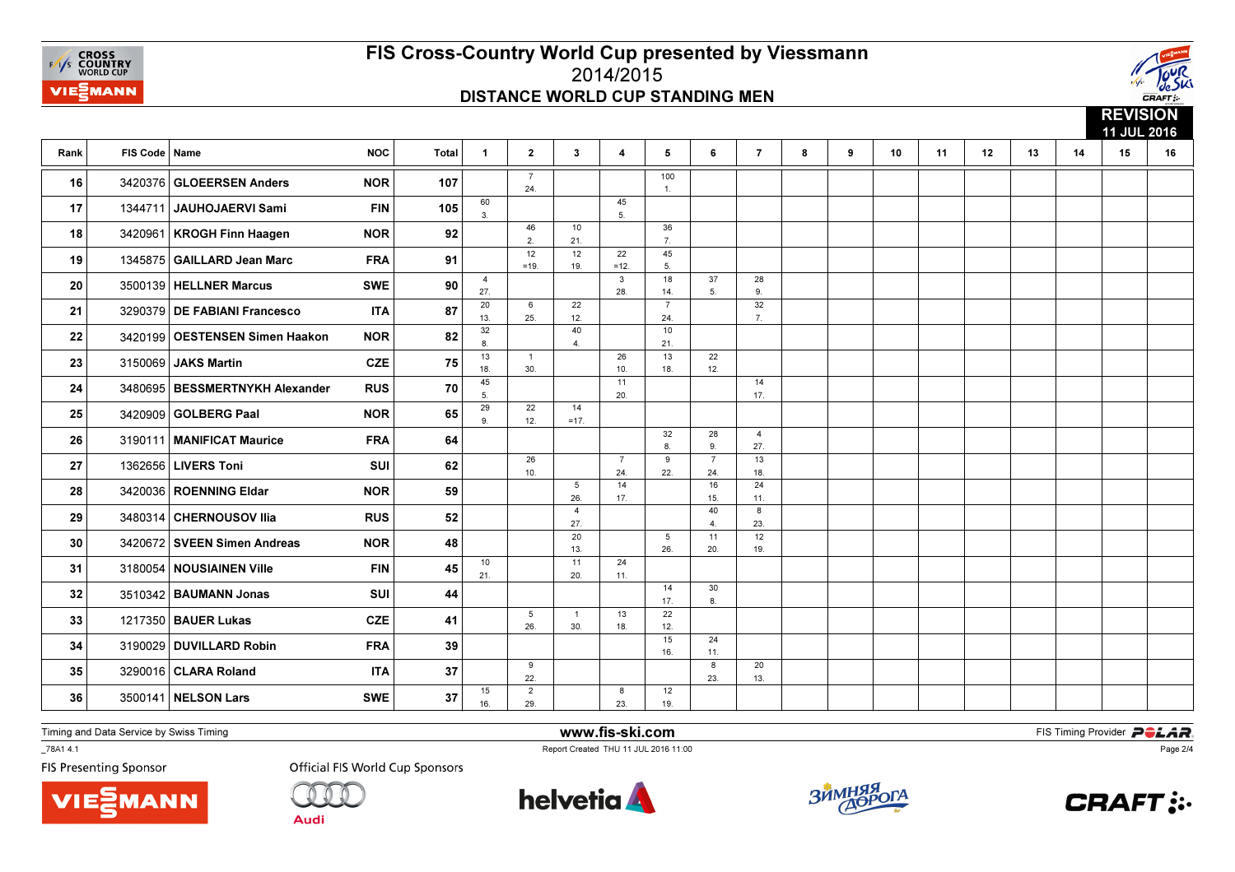



|      |                 |                                |            |              |                       |                       |                       |                         |                         |                        |                       |   |   |    |    |    |    |    | 11<br>11 JUL 2016 |    |  |
|------|-----------------|--------------------------------|------------|--------------|-----------------------|-----------------------|-----------------------|-------------------------|-------------------------|------------------------|-----------------------|---|---|----|----|----|----|----|-------------------|----|--|
| Rank | FIS Code   Name |                                | <b>NOC</b> | <b>Total</b> | $\mathbf{1}$          | $\mathbf{2}$          | $\mathbf{3}$          | $\overline{\mathbf{4}}$ | $5^{\circ}$             | 6                      | $\overline{7}$        | 8 | 9 | 10 | 11 | 12 | 13 | 14 | 15                | 16 |  |
| 16   |                 | 3420376 GLOEERSEN Anders       | <b>NOR</b> | 107          |                       | $\overline{7}$<br>24. |                       |                         | 100<br>$\overline{1}$ . |                        |                       |   |   |    |    |    |    |    |                   |    |  |
| 17   | 1344711         | JAUHOJAERVI Sami               | <b>FIN</b> | 105          | 60<br>3.              |                       |                       | 45<br>5.                |                         |                        |                       |   |   |    |    |    |    |    |                   |    |  |
| 18   | 3420961         | <b>KROGH Finn Haagen</b>       | <b>NOR</b> | 92           |                       | 46<br>2.              | 10<br>21.             |                         | 36<br>7.                |                        |                       |   |   |    |    |    |    |    |                   |    |  |
| 19   | 1345875         | GAILLARD Jean Marc             | <b>FRA</b> | 91           |                       | 12<br>$=19.$          | 12<br>19.             | 22<br>$=12.$            | 45<br>5.                |                        |                       |   |   |    |    |    |    |    |                   |    |  |
| 20   |                 | 3500139   HELLNER Marcus       | <b>SWE</b> | 90           | $\overline{4}$<br>27. |                       |                       | 3<br>28.                | 18<br>14.               | 37<br>5.               | 28<br>9.              |   |   |    |    |    |    |    |                   |    |  |
| 21   | 3290379         | <b>DE FABIANI Francesco</b>    | <b>ITA</b> | 87           | 20<br>13.             | 6<br>25.              | 22<br>12.             |                         | $\overline{7}$<br>24.   |                        | 32<br>7.              |   |   |    |    |    |    |    |                   |    |  |
| 22   | 3420199         | <b>OESTENSEN Simen Haakon</b>  | <b>NOR</b> | 82           | 32<br>8.              |                       | 40<br>4.              |                         | 10<br>21.               |                        |                       |   |   |    |    |    |    |    |                   |    |  |
| 23   |                 | 3150069 JAKS Martin            | CZE        | 75           | 13<br>18.             | $\mathbf{1}$<br>30.   |                       | 26<br>10.               | 13<br>18.               | 22<br>12.              |                       |   |   |    |    |    |    |    |                   |    |  |
| 24   |                 | 3480695 BESSMERTNYKH Alexander | <b>RUS</b> | 70           | 45<br>5.              |                       |                       | 11<br>20.               |                         |                        | 14<br>17.             |   |   |    |    |    |    |    |                   |    |  |
| 25   |                 | 3420909 GOLBERG Paal           | <b>NOR</b> | 65           | 29<br>9.              | 22<br>12.             | 14<br>$=17.$          |                         |                         |                        |                       |   |   |    |    |    |    |    |                   |    |  |
| 26   | 3190111         | <b>MANIFICAT Maurice</b>       | <b>FRA</b> | 64           |                       |                       |                       |                         | 32<br>8.                | 28<br>9.               | $\overline{4}$<br>27. |   |   |    |    |    |    |    |                   |    |  |
| 27   | 1362656         | <b>LIVERS Toni</b>             | SUI        | 62           |                       | 26<br>10.             |                       | $\overline{7}$<br>24.   | 9<br>22.                | $\overline{7}$<br>24.  | 13<br>18.             |   |   |    |    |    |    |    |                   |    |  |
| 28   |                 | 3420036 ROENNING Eldar         | <b>NOR</b> | 59           |                       |                       | 5<br>26.              | 14<br>17.               |                         | 16<br>15.              | 24<br>11.             |   |   |    |    |    |    |    |                   |    |  |
| 29   |                 | 3480314 CHERNOUSOV Ilia        | <b>RUS</b> | 52           |                       |                       | $\overline{4}$<br>27. |                         |                         | 40<br>$\overline{4}$ . | 8<br>23.              |   |   |    |    |    |    |    |                   |    |  |
| 30   |                 | 3420672 SVEEN Simen Andreas    | <b>NOR</b> | 48           |                       |                       | 20<br>13.             |                         | 5<br>26.                | 11<br>20.              | 12<br>19.             |   |   |    |    |    |    |    |                   |    |  |
| 31   |                 | 3180054 NOUSIAINEN Ville       | <b>FIN</b> | 45           | 10<br>21.             |                       | 11<br>20.             | 24<br>11.               |                         |                        |                       |   |   |    |    |    |    |    |                   |    |  |
| 32   | 3510342         | <b>BAUMANN Jonas</b>           | SUI        | 44           |                       |                       |                       |                         | 14<br>17.               | 30<br>8.               |                       |   |   |    |    |    |    |    |                   |    |  |
| 33   |                 | 1217350 BAUER Lukas            | <b>CZE</b> | 41           |                       | 5<br>26.              | $\overline{1}$<br>30. | 13<br>18.               | 22<br>12.<br>15         |                        |                       |   |   |    |    |    |    |    |                   |    |  |
| 34   | 3190029         | <b>DUVILLARD Robin</b>         | <b>FRA</b> | 39           |                       |                       |                       |                         | 16.                     | 24<br>11.              |                       |   |   |    |    |    |    |    |                   |    |  |
| 35   | 3290016         | <b>CLARA Roland</b>            | <b>ITA</b> | 37           |                       | 9<br>22.              |                       |                         |                         | 8<br>23.               | 20<br>13.             |   |   |    |    |    |    |    |                   |    |  |
| 36   |                 | 3500141   NELSON Lars          | <b>SWE</b> | 37           | 15<br>16.             | $\overline{2}$<br>29. |                       | 8<br>23.                | 12<br>19.               |                        |                       |   |   |    |    |    |    |    |                   |    |  |

Timing and Data Service by Swiss Timing

\_78A1 4.1

**FIS Presenting Sponsor** 





**Official FIS World Cup Sponsors** 



www.fis-ski.com

Report Created THU 11 JUL 2016 11:00



**m**<br>FIS Timing Provider<br>Is 11:00



Page 2/4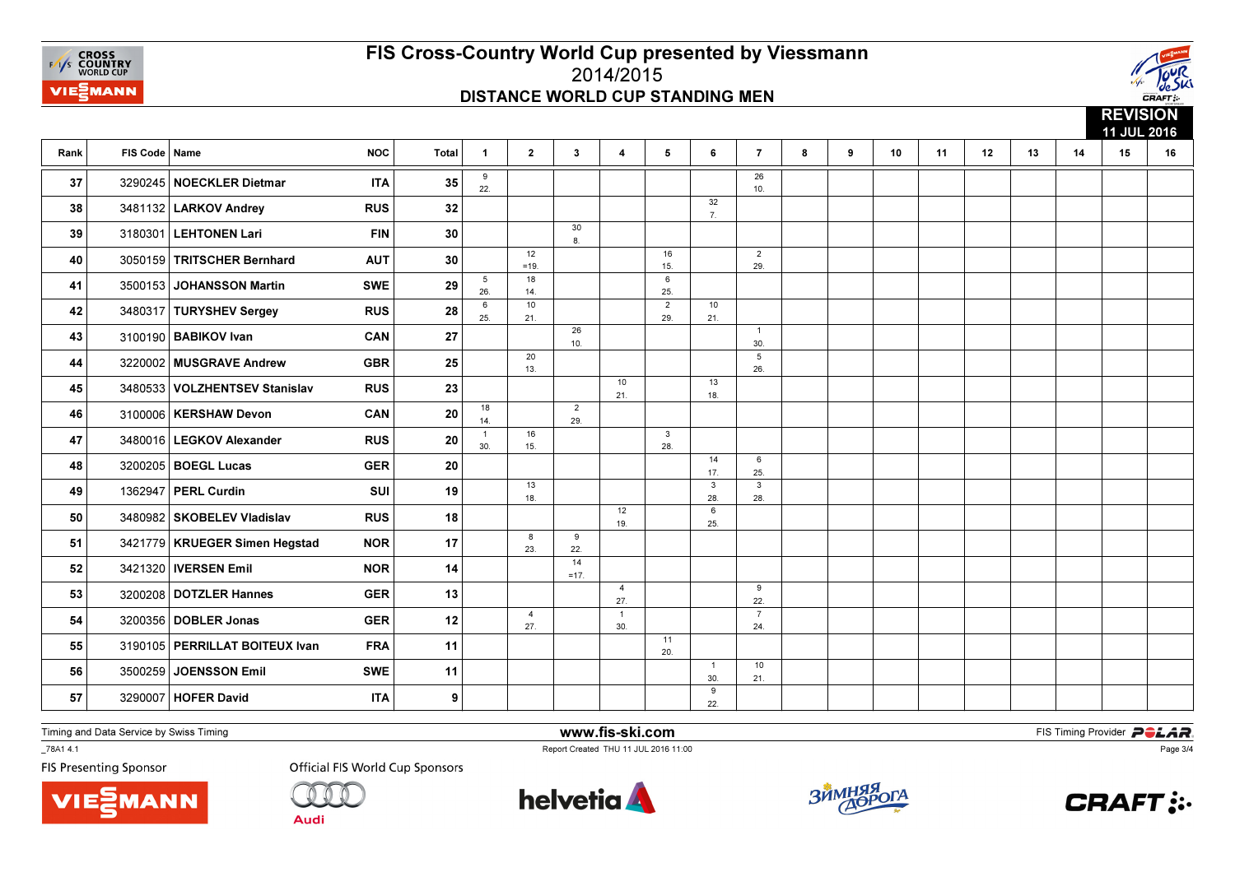



|      |                 |                                  |            |                 |                        |                       |                       |                         |                       |                        |                        |   |   |                 |    |    |    |    | <b>NEVIOIUN</b><br>11 JUL 2016 |    |
|------|-----------------|----------------------------------|------------|-----------------|------------------------|-----------------------|-----------------------|-------------------------|-----------------------|------------------------|------------------------|---|---|-----------------|----|----|----|----|--------------------------------|----|
| Rank | FIS Code   Name |                                  | <b>NOC</b> | <b>Total</b>    | $\mathbf{1}$           | $\mathbf{2}$          | $\mathbf{3}$          | $\overline{\mathbf{4}}$ | $5^{\circ}$           | 6                      | $\overline{7}$         | 8 | 9 | 10 <sup>1</sup> | 11 | 12 | 13 | 14 | 15                             | 16 |
| 37   |                 | 3290245 NOECKLER Dietmar         | <b>ITA</b> | 35              | 9<br>22.               |                       |                       |                         |                       |                        | $\overline{26}$<br>10. |   |   |                 |    |    |    |    |                                |    |
| 38   |                 | 3481132   LARKOV Andrey          | <b>RUS</b> | 32              |                        |                       |                       |                         |                       | 32<br>$\overline{7}$ . |                        |   |   |                 |    |    |    |    |                                |    |
| 39   |                 | 3180301 LEHTONEN Lari            | <b>FIN</b> | 30              |                        |                       | 30<br>8.              |                         |                       |                        |                        |   |   |                 |    |    |    |    |                                |    |
| 40   |                 | 3050159 TRITSCHER Bernhard       | <b>AUT</b> | 30 <sup>°</sup> |                        | 12<br>$=19.$          |                       |                         | 16<br>15.             |                        | $\overline{2}$<br>29.  |   |   |                 |    |    |    |    |                                |    |
| 41   |                 | 3500153 JOHANSSON Martin         | <b>SWE</b> | 29              | $5\overline{)}$<br>26. | 18<br>14.             |                       |                         | 6<br>25.              |                        |                        |   |   |                 |    |    |    |    |                                |    |
| 42   |                 | 3480317 TURYSHEV Sergey          | <b>RUS</b> | 28              | $\,$ 6<br>25.          | 10<br>21.             |                       |                         | $\overline{2}$<br>29. | 10<br>21.              |                        |   |   |                 |    |    |    |    |                                |    |
| 43   |                 | 3100190 BABIKOV Ivan             | CAN        | 27              |                        |                       | 26<br>10.             |                         |                       |                        | $\overline{1}$<br>30.  |   |   |                 |    |    |    |    |                                |    |
| 44   |                 | 3220002 MUSGRAVE Andrew          | <b>GBR</b> | 25              |                        | 20<br>13.             |                       |                         |                       |                        | 5<br>26.               |   |   |                 |    |    |    |    |                                |    |
| 45   | 3480533         | <b>VOLZHENTSEV Stanislav</b>     | <b>RUS</b> | 23              |                        |                       |                       | 10<br>21.               |                       | 13<br>18.              |                        |   |   |                 |    |    |    |    |                                |    |
| 46   |                 | 3100006   KERSHAW Devon          | CAN        | 20              | 18<br>14.              |                       | $\overline{2}$<br>29. |                         |                       |                        |                        |   |   |                 |    |    |    |    |                                |    |
| 47   |                 | 3480016   LEGKOV Alexander       | <b>RUS</b> | 20              | $\overline{1}$<br>30.  | 16<br>15.             |                       |                         | $\mathbf{3}$<br>28.   |                        |                        |   |   |                 |    |    |    |    |                                |    |
| 48   |                 | 3200205 BOEGL Lucas              | <b>GER</b> | 20              |                        |                       |                       |                         |                       | 14<br>17.              | 6<br>25.               |   |   |                 |    |    |    |    |                                |    |
| 49   |                 | 1362947 PERL Curdin              | SUI        | 19              |                        | 13<br>18.             |                       |                         |                       | $\mathbf{3}$<br>28.    | 3<br>28.               |   |   |                 |    |    |    |    |                                |    |
| 50   |                 | 3480982 SKOBELEV Vladislav       | <b>RUS</b> | 18              |                        |                       |                       | 12<br>19.               |                       | 6<br>25.               |                        |   |   |                 |    |    |    |    |                                |    |
| 51   |                 | 3421779   KRUEGER Simen Hegstad  | <b>NOR</b> | 17              |                        | 8<br>23.              | 9<br>22.              |                         |                       |                        |                        |   |   |                 |    |    |    |    |                                |    |
| 52   |                 | 3421320   IVERSEN Emil           | <b>NOR</b> | 14              |                        |                       | 14<br>$=17.$          |                         |                       |                        |                        |   |   |                 |    |    |    |    |                                |    |
| 53   |                 | 3200208 DOTZLER Hannes           | <b>GER</b> | 13              |                        |                       |                       | $\overline{4}$<br>27.   |                       |                        | 9<br>22.               |   |   |                 |    |    |    |    |                                |    |
| 54   |                 | 3200356 DOBLER Jonas             | <b>GER</b> | 12              |                        | $\overline{4}$<br>27. |                       | $\overline{1}$<br>30.   |                       |                        | $\overline{7}$<br>24.  |   |   |                 |    |    |    |    |                                |    |
| 55   |                 | 3190105   PERRILLAT BOITEUX Ivan | <b>FRA</b> | 11              |                        |                       |                       |                         | 11<br>20.             |                        |                        |   |   |                 |    |    |    |    |                                |    |
| 56   | 3500259         | JOENSSON Emil                    | <b>SWE</b> | 11              |                        |                       |                       |                         |                       | $\overline{1}$<br>30.  | 10<br>21.              |   |   |                 |    |    |    |    |                                |    |
| 57   |                 | 3290007 HOFER David              | <b>ITA</b> | 9               |                        |                       |                       |                         |                       | 9<br>22.               |                        |   |   |                 |    |    |    |    |                                |    |

Timing and Data Service by Swiss Timing

**MANN** 

\_78A1 4.1

**FIS Presenting Sponsor** 



**Audi** 

 www.fis-ski.comReport Created THU 11 JUL 2016 11:00

**m**<br>FIS Timing Provider<br>Is 11:00







Page 3/4